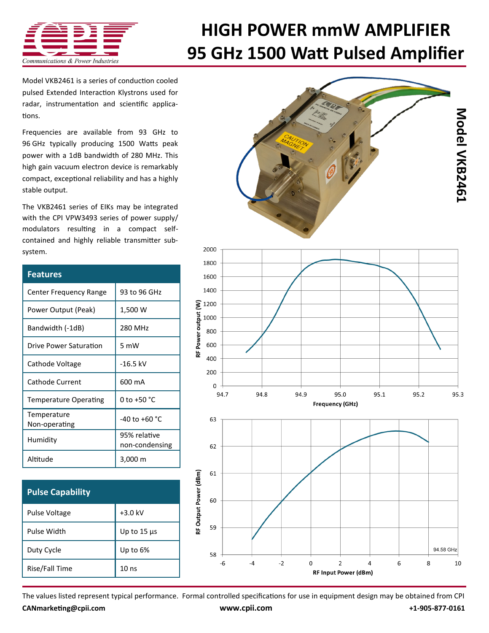

## **[HIGH POWER mmW AMPLIFIER](http://www.cpii.com/product.cfm/7/40/158) 95 GHz 1500 Watt Pulsed Amplifier**

Model VKB2461 is a series of conduction cooled [pulsed Extended Interaction Klystrons u](http://www.cpii.com/product.cfm/7/40/158)sed for radar, instrumentation and scientific applications.

Frequencies are available from 93 GHz to 96 GHz typically producing 1500 Watts peak power with a 1dB bandwidth of 280 MHz. This high gain vacuum electron device is remarkably compact, exceptional reliability and has a highly stable output.

The VKB2461 series of EIKs may be integrated with the [CPI VPW3493 series of power supply/](http://www.cpii.com/product.cfm/7/40/282) [modulators r](http://www.cpii.com/product.cfm/7/40/282)esulting in a compact selfcontained and highly reliable transmitter subsystem.

| <b>Features</b>               |                                |
|-------------------------------|--------------------------------|
| <b>Center Frequency Range</b> | 93 to 96 GHz                   |
| Power Output (Peak)           | 1,500 W                        |
| Bandwidth (-1dB)              | 280 MHz                        |
| Drive Power Saturation        | 5 mW                           |
| Cathode Voltage               | $-16.5$ kV                     |
| Cathode Current               | 600 mA                         |
| <b>Temperature Operating</b>  | 0 to +50 °C                    |
| Temperature<br>Non-operating  | $-40$ to $+60$ °C              |
| Humidity                      | 95% relative<br>non-condensing |
| Altitude                      | 3,000 m                        |

| <b>Pulse Capability</b> |                  |
|-------------------------|------------------|
| Pulse Voltage           | $+3.0$ kV        |
| Pulse Width             | Up to $15 \mu s$ |
| Duty Cycle              | Up to 6%         |
| Rise/Fall Time          | 10 <sub>ns</sub> |



The values listed represent typical performance. Formal controlled specifications for use in equipment design may be obtained from CPI **[CANmarketing@cpii.com](mailto:CANmarketing@cpii.com) [www.cpii.com](http://www.cpii.com) +1-905-877-0161**